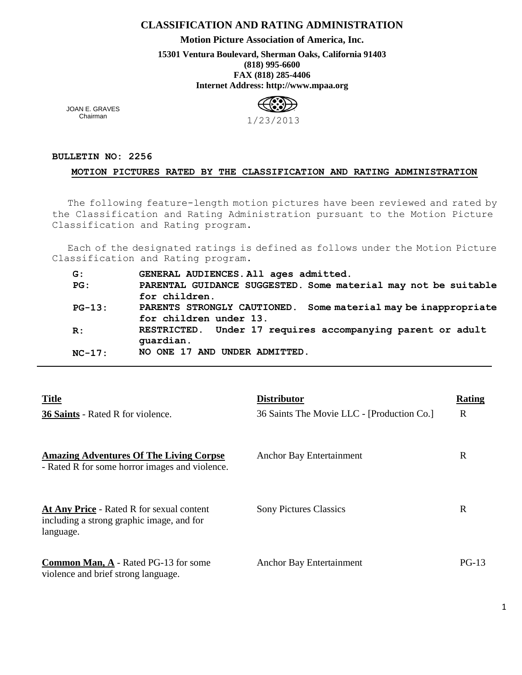## **CLASSIFICATION AND RATING ADMINISTRATION**

**Motion Picture Association of America, Inc.**

**15301 Ventura Boulevard, Sherman Oaks, California 91403 (818) 995-6600 FAX (818) 285-4406 Internet Address: http://www.mpaa.org**



JOAN E. GRAVES Chairman

## **BULLETIN NO: 2256**

## **MOTION PICTURES RATED BY THE CLASSIFICATION AND RATING ADMINISTRATION**

The following feature-length motion pictures have been reviewed and rated by the Classification and Rating Administration pursuant to the Motion Picture Classification and Rating program.

Each of the designated ratings is defined as follows under the Motion Picture Classification and Rating program.

| G:       | GENERAL AUDIENCES. All ages admitted.                             |
|----------|-------------------------------------------------------------------|
| PG:      | PARENTAL GUIDANCE SUGGESTED. Some material may not be suitable    |
|          | for children.                                                     |
| $PG-13:$ | Some material may be inappropriate<br>PARENTS STRONGLY CAUTIONED. |
|          | for children under 13.                                            |
| R:       | RESTRICTED. Under 17 requires accompanying parent or adult        |
|          | quardian.                                                         |
| $NC-17:$ | NO ONE 17 AND UNDER ADMITTED.                                     |

| <b>Title</b>                                                                                               | <b>Distributor</b>                         | Rating  |
|------------------------------------------------------------------------------------------------------------|--------------------------------------------|---------|
| <b>36 Saints - Rated R for violence.</b>                                                                   | 36 Saints The Movie LLC - [Production Co.] | R       |
| <b>Amazing Adventures Of The Living Corpse</b><br>- Rated R for some horror images and violence.           | Anchor Bay Entertainment                   | R       |
| <b>At Any Price - Rated R for sexual content</b><br>including a strong graphic image, and for<br>language. | <b>Sony Pictures Classics</b>              | R       |
| <b>Common Man, A - Rated PG-13 for some</b><br>violence and brief strong language.                         | Anchor Bay Entertainment                   | $PG-13$ |